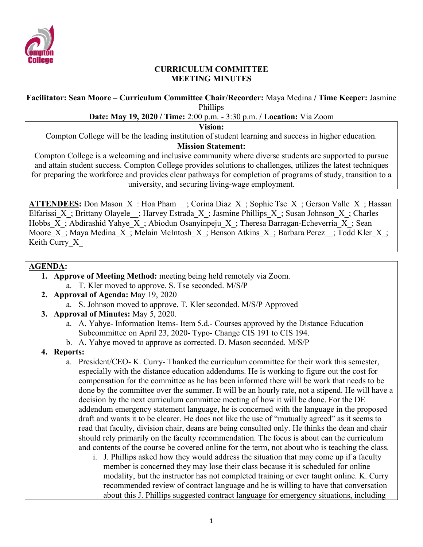

#### **CURRICULUM COMMITTEE MEETING MINUTES**

#### **Facilitator: Sean Moore – Curriculum Committee Chair/Recorder:** Maya Medina **/ Time Keeper:** Jasmine Phillips

### **Date: May 19, 2020 / Time:** 2:00 p.m. - 3:30 p.m. **/ Location:** Via Zoom

**Vision:**

Compton College will be the leading institution of student learning and success in higher education.

## **Mission Statement:**

Compton College is a welcoming and inclusive community where diverse students are supported to pursue and attain student success. Compton College provides solutions to challenges, utilizes the latest techniques for preparing the workforce and provides clear pathways for completion of programs of study, transition to a university, and securing living-wage employment.

**ATTENDEES:** Don Mason X: Hoa Pham ; Corina Diaz X; Sophie Tse X; Gerson Valle X; Hassan Elfarissi X; Brittany Olayele ; Harvey Estrada X; Jasmine Phillips X; Susan Johnson X; Charles Hobbs X; Abdirashid Yahye X; Abiodun Osanyinpeju X; Theresa Barragan-Echeverria X; Sean Moore X; Maya Medina X; Melain McIntosh X; Benson Atkins X; Barbara Perez ; Todd Kler X; Keith Curry X

### **AGENDA:**

- **1. Approve of Meeting Method:** meeting being held remotely via Zoom. a. T. Kler moved to approve. S. Tse seconded. M/S/P
- **2. Approval of Agenda:** May 19, 2020
	- a. S. Johnson moved to approve. T. Kler seconded. M/S/P Approved
- **3. Approval of Minutes:** May 5, 2020.
	- a. A. Yahye- Information Items- Item 5.d.- Courses approved by the Distance Education Subcommittee on April 23, 2020- Typo- Change CIS 191 to CIS 194.
	- b. A. Yahye moved to approve as corrected. D. Mason seconded. M/S/P
- **4. Reports:**
	- a. President/CEO- K. Curry- Thanked the curriculum committee for their work this semester, especially with the distance education addendums. He is working to figure out the cost for compensation for the committee as he has been informed there will be work that needs to be done by the committee over the summer. It will be an hourly rate, not a stipend. He will have a decision by the next curriculum committee meeting of how it will be done. For the DE addendum emergency statement language, he is concerned with the language in the proposed draft and wants it to be clearer. He does not like the use of "mutually agreed" as it seems to read that faculty, division chair, deans are being consulted only. He thinks the dean and chair should rely primarily on the faculty recommendation. The focus is about can the curriculum and contents of the course be covered online for the term, not about who is teaching the class.
		- i. J. Phillips asked how they would address the situation that may come up if a faculty member is concerned they may lose their class because it is scheduled for online modality, but the instructor has not completed training or ever taught online. K. Curry recommended review of contract language and he is willing to have that conversation about this J. Phillips suggested contract language for emergency situations, including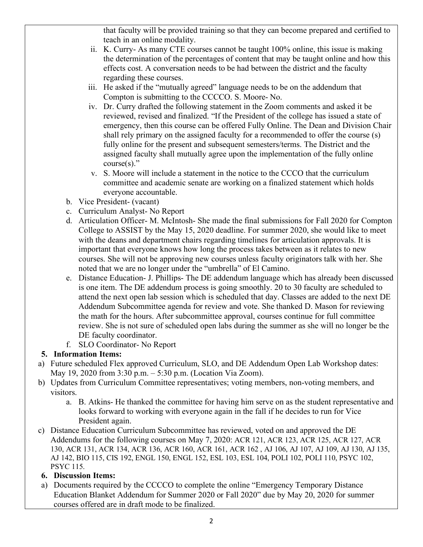that faculty will be provided training so that they can become prepared and certified to teach in an online modality.

- ii. K. Curry- As many CTE courses cannot be taught 100% online, this issue is making the determination of the percentages of content that may be taught online and how this effects cost. A conversation needs to be had between the district and the faculty regarding these courses.
- iii. He asked if the "mutually agreed" language needs to be on the addendum that Compton is submitting to the CCCCO. S. Moore- No.
- iv. Dr. Curry drafted the following statement in the Zoom comments and asked it be reviewed, revised and finalized. "If the President of the college has issued a state of emergency, then this course can be offered Fully Online. The Dean and Division Chair shall rely primary on the assigned faculty for a recommended to offer the course (s) fully online for the present and subsequent semesters/terms. The District and the assigned faculty shall mutually agree upon the implementation of the fully online  $course(s)$ ."
- v. S. Moore will include a statement in the notice to the CCCO that the curriculum committee and academic senate are working on a finalized statement which holds everyone accountable.
- b. Vice President- (vacant)
- c. Curriculum Analyst- No Report
- d. Articulation Officer- M. McIntosh- She made the final submissions for Fall 2020 for Compton College to ASSIST by the May 15, 2020 deadline. For summer 2020, she would like to meet with the deans and department chairs regarding timelines for articulation approvals. It is important that everyone knows how long the process takes between as it relates to new courses. She will not be approving new courses unless faculty originators talk with her. She noted that we are no longer under the "umbrella" of El Camino.
- e. Distance Education- J. Phillips- The DE addendum language which has already been discussed is one item. The DE addendum process is going smoothly. 20 to 30 faculty are scheduled to attend the next open lab session which is scheduled that day. Classes are added to the next DE Addendum Subcommittee agenda for review and vote. She thanked D. Mason for reviewing the math for the hours. After subcommittee approval, courses continue for full committee review. She is not sure of scheduled open labs during the summer as she will no longer be the DE faculty coordinator.
- f. SLO Coordinator- No Report

## **5. Information Items:**

- a) Future scheduled Flex approved Curriculum, SLO, and DE Addendum Open Lab Workshop dates: May 19, 2020 from 3:30 p.m. – 5:30 p.m. (Location Via Zoom).
- b) Updates from Curriculum Committee representatives; voting members, non-voting members, and visitors.
	- a. B. Atkins- He thanked the committee for having him serve on as the student representative and looks forward to working with everyone again in the fall if he decides to run for Vice President again.
- c) Distance Education Curriculum Subcommittee has reviewed, voted on and approved the DE Addendums for the following courses on May 7, 2020: ACR 121, ACR 123, ACR 125, ACR 127, ACR 130, ACR 131, ACR 134, ACR 136, ACR 160, ACR 161, ACR 162 , AJ 106, AJ 107, AJ 109, AJ 130, AJ 135, AJ 142, BIO 115, CIS 192, ENGL 150, ENGL 152, ESL 103, ESL 104, POLI 102, POLI 110, PSYC 102, PSYC 115.

## **6. Discussion Items:**

a) Documents required by the CCCCO to complete the online "Emergency Temporary Distance Education Blanket Addendum for Summer 2020 or Fall 2020" due by May 20, 2020 for summer courses offered are in draft mode to be finalized.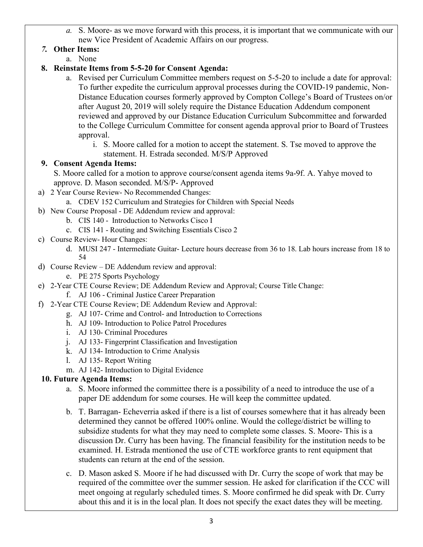*a.* S. Moore- as we move forward with this process, it is important that we communicate with our new Vice President of Academic Affairs on our progress.

# *7.* **Other Items:**

a. None

## **8. Reinstate Items from 5-5-20 for Consent Agenda:**

- a. Revised per Curriculum Committee members request on 5-5-20 to include a date for approval: To further expedite the curriculum approval processes during the COVID-19 pandemic, Non-Distance Education courses formerly approved by Compton College's Board of Trustees on/or after August 20, 2019 will solely require the Distance Education Addendum component reviewed and approved by our Distance Education Curriculum Subcommittee and forwarded to the College Curriculum Committee for consent agenda approval prior to Board of Trustees approval.
	- i. S. Moore called for a motion to accept the statement. S. Tse moved to approve the statement. H. Estrada seconded. M/S/P Approved

## **9. Consent Agenda Items:**

S. Moore called for a motion to approve course/consent agenda items 9a-9f. A. Yahye moved to approve. D. Mason seconded. M/S/P- Approved

- a) 2 Year Course Review- No Recommended Changes:
	- a. CDEV 152 Curriculum and Strategies for Children with Special Needs
- b) New Course Proposal DE Addendum review and approval:
	- b. CIS 140 Introduction to Networks Cisco I
	- c. CIS 141 Routing and Switching Essentials Cisco 2
- c) Course Review- Hour Changes:
	- d. MUSI 247 Intermediate Guitar- Lecture hours decrease from 36 to 18. Lab hours increase from 18 to 54
- d) Course Review DE Addendum review and approval:
	- e. PE 275 Sports Psychology
- e) 2-Year CTE Course Review; DE Addendum Review and Approval; Course Title Change:

f. AJ 106 - Criminal Justice Career Preparation

- f) 2-Year CTE Course Review; DE Addendum Review and Approval:
	- g. AJ 107- Crime and Control- and Introduction to Corrections
	- h. AJ 109- Introduction to Police Patrol Procedures
	- i. AJ 130- Criminal Procedures
	- j. AJ 133- Fingerprint Classification and Investigation
	- k. AJ 134- Introduction to Crime Analysis
	- l. AJ 135- Report Writing
	- m. AJ 142- Introduction to Digital Evidence

# **10. Future Agenda Items:**

- a. S. Moore informed the committee there is a possibility of a need to introduce the use of a paper DE addendum for some courses. He will keep the committee updated.
- b. T. Barragan- Echeverria asked if there is a list of courses somewhere that it has already been determined they cannot be offered 100% online. Would the college/district be willing to subsidize students for what they may need to complete some classes. S. Moore- This is a discussion Dr. Curry has been having. The financial feasibility for the institution needs to be examined. H. Estrada mentioned the use of CTE workforce grants to rent equipment that students can return at the end of the session.
- c. D. Mason asked S. Moore if he had discussed with Dr. Curry the scope of work that may be required of the committee over the summer session. He asked for clarification if the CCC will meet ongoing at regularly scheduled times. S. Moore confirmed he did speak with Dr. Curry about this and it is in the local plan. It does not specify the exact dates they will be meeting.